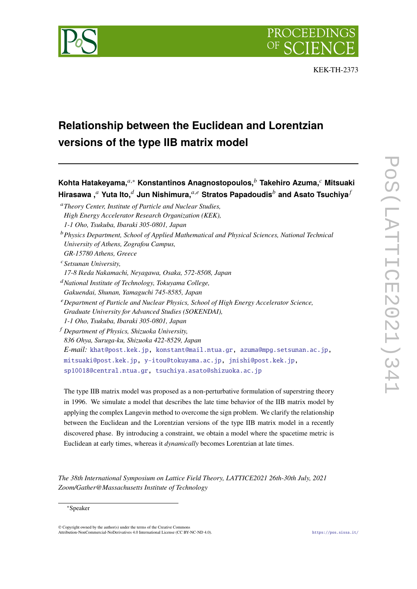

# **Relationship between the Euclidean and Lorentzian versions of the type IIB matrix model**

**Kohta Hatakeyama,***,*<sup>∗</sup> **Konstantinos Anagnostopoulos, Takehiro Azuma, Mitsuaki Hirasawa , Yuta Ito, Jun Nishimura,***,* **Stratos Papadoudis and Asato Tsuchiya**

*Theory Center, Institute of Particle and Nuclear Studies, High Energy Accelerator Research Organization (KEK),*

- *Physics Department, School of Applied Mathematical and Physical Sciences, National Technical University of Athens, Zografou Campus, GR-15780 Athens, Greece*
- *Setsunan University,*

*17-8 Ikeda Nakamachi, Neyagawa, Osaka, 572-8508, Japan*

- *National Institute of Technology, Tokuyama College,*
- *Gakuendai, Shunan, Yamaguchi 745-8585, Japan*
- *Department of Particle and Nuclear Physics, School of High Energy Accelerator Science, Graduate University for Advanced Studies (SOKENDAI), 1-1 Oho, Tsukuba, Ibaraki 305-0801, Japan*
- *Department of Physics, Shizuoka University, 836 Ohya, Suruga-ku, Shizuoka 422-8529, Japan E-mail:* khat@post.kek.jp, konstant@mail.ntua.gr, azuma@mpg.setsunan.ac.jp, mitsuaki@post.kek.jp, y-itou@tokuyama.ac.jp, jnishi@post.kek.jp, sp10018@central.ntua.gr, tsuchiya.asato@shizuoka.ac.jp

The type IIB matrix model was proposed as a non-perturbative formulation of superstring theory in 1996. We simulate a model that describes the late time behavior of the IIB matrix model by applying the complex Langevin method to overcome the sign problem. We clarify the relationship between the Euclidean and the Lorentzian versions of the type IIB matrix model in a recently discovered phase. By introducing a constraint, we obtain a model where the spacetime metric is Euclidean at early times, whereas it *dynamically* becomes Lorentzian at late times.

*The 38th International Symposium on Lattice Field Theory, LATTICE2021 26th-30th July, 2021 Zoom/Gather@Massachusetts Institute of Technology*

# ∗Speaker

© Copyright owned by the author(s) under the terms of the Creative Commons Attribution-NonCommercial-NoDerivatives 4.0 International License (CC BY-NC-ND 4.0). https://pos.sissa.it/

*<sup>1-1</sup> Oho, Tsukuba, Ibaraki 305-0801, Japan*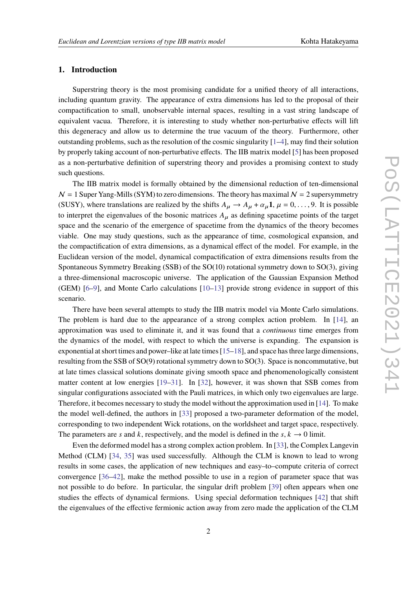# **1. Introduction**

Superstring theory is the most promising candidate for a unified theory of all interactions, including quantum gravity. The appearance of extra dimensions has led to the proposal of their compactification to small, unobservable internal spaces, resulting in a vast string landscape of equivalent vacua. Therefore, it is interesting to study whether non-perturbative effects will lift this degeneracy and allow us to determine the true vacuum of the theory. Furthermore, other outstanding problems, such as the resolution of the cosmic singularity  $[1-4]$ , may find their solution by properly taking account of non-perturbative effects. The IIB matrix model [5] has been proposed as a non-perturbative definition of superstring theory and provides a promising context to study such questions.

The IIB matrix model is formally obtained by the dimensional reduction of ten-dimensional  $N = 1$  Super Yang-Mills (SYM) to zero dimensions. The theory has maximal  $N = 2$  supersymmetry (SUSY), where translations are realized by the shifts  $A_\mu \rightarrow A_\mu + \alpha_\mu \mathbf{1}, \mu = 0, \ldots, 9$ . It is possible to interpret the eigenvalues of the bosonic matrices  $A_{\mu}$  as defining spacetime points of the target space and the scenario of the emergence of spacetime from the dynamics of the theory becomes viable. One may study questions, such as the appearance of time, cosmological expansion, and the compactification of extra dimensions, as a dynamical effect of the model. For example, in the Euclidean version of the model, dynamical compactification of extra dimensions results from the Spontaneous Symmetry Breaking (SSB) of the SO(10) rotational symmetry down to SO(3), giving a three-dimensional macroscopic universe. The application of the Gaussian Expansion Method (GEM) [6–9], and Monte Carlo calculations [10–13] provide strong evidence in support of this scenario.

There have been several attempts to study the IIB matrix model via Monte Carlo simulations. The problem is hard due to the appearance of a strong complex action problem. In [14], an approximation was used to eliminate it, and it was found that a *continuous* time emerges from the dynamics of the model, with respect to which the universe is expanding. The expansion is exponential at short times and power–like at late times  $[15–18]$ , and space has three large dimensions, resulting from the SSB of SO(9) rotational symmetry down to SO(3). Space is noncommutative, but at late times classical solutions dominate giving smooth space and phenomenologically consistent matter content at low energies [19–31]. In [32], however, it was shown that SSB comes from singular configurations associated with the Pauli matrices, in which only two eigenvalues are large. Therefore, it becomes necessary to study the model without the approximation used in [14]. To make the model well-defined, the authors in [33] proposed a two-parameter deformation of the model, corresponding to two independent Wick rotations, on the worldsheet and target space, respectively. The parameters are *s* and *k*, respectively, and the model is defined in the *s*,  $k \rightarrow 0$  limit.

Even the deformed model has a strong complex action problem. In [33], the Complex Langevin Method (CLM) [34, 35] was used successfully. Although the CLM is known to lead to wrong results in some cases, the application of new techniques and easy–to–compute criteria of correct convergence [36–42], make the method possible to use in a region of parameter space that was not possible to do before. In particular, the singular drift problem [39] often appears when one studies the effects of dynamical fermions. Using special deformation techniques [42] that shift the eigenvalues of the effective fermionic action away from zero made the application of the CLM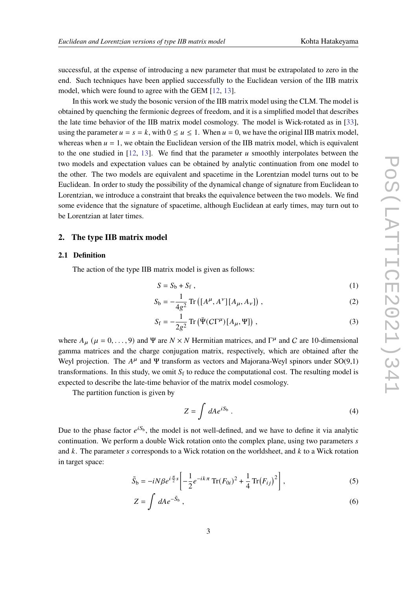successful, at the expense of introducing a new parameter that must be extrapolated to zero in the end. Such techniques have been applied successfully to the Euclidean version of the IIB matrix model, which were found to agree with the GEM [12, 13].

In this work we study the bosonic version of the IIB matrix model using the CLM. The model is obtained by quenching the fermionic degrees of freedom, and it is a simplified model that describes the late time behavior of the IIB matrix model cosmology. The model is Wick-rotated as in [33], using the parameter  $u = s = k$ , with  $0 \le u \le 1$ . When  $u = 0$ , we have the original IIB matrix model, whereas when  $u = 1$ , we obtain the Euclidean version of the IIB matrix model, which is equivalent to the one studied in  $[12, 13]$ . We find that the parameter u smoothly interpolates between the two models and expectation values can be obtained by analytic continuation from one model to the other. The two models are equivalent and spacetime in the Lorentzian model turns out to be Euclidean. In order to study the possibility of the dynamical change of signature from Euclidean to Lorentzian, we introduce a constraint that breaks the equivalence between the two models. We find some evidence that the signature of spacetime, although Euclidean at early times, may turn out to be Lorentzian at later times.

# **2. The type IIB matrix model**

## **2.1 Definition**

The action of the type IIB matrix model is given as follows:

$$
S = S_b + S_f , \t\t(1)
$$

$$
S_{\rm b} = -\frac{1}{4g^2} \operatorname{Tr} \left( [A^{\mu}, A^{\nu}] [A_{\mu}, A_{\nu}] \right), \tag{2}
$$

$$
S_{\rm f} = -\frac{1}{2g^2} \operatorname{Tr} \left( \bar{\Psi} (C\Gamma^{\mu}) [A_{\mu}, \Psi] \right), \qquad (3)
$$

where  $A_{\mu}$  ( $\mu = 0, \ldots, 9$ ) and  $\Psi$  are  $N \times N$  Hermitian matrices, and  $\Gamma^{\mu}$  and C are 10-dimensional gamma matrices and the charge conjugation matrix, respectively, which are obtained after the Weyl projection. The  $A^{\mu}$  and  $\Psi$  transform as vectors and Majorana-Weyl spinors under SO(9,1) transformations. In this study, we omit  $S_f$  to reduce the computational cost. The resulting model is expected to describe the late-time behavior of the matrix model cosmology.

The partition function is given by

$$
Z = \int dA e^{iS_b} \,. \tag{4}
$$

Due to the phase factor  $e^{iS_b}$ , the model is not well-defined, and we have to define it via analytic continuation. We perform a double Wick rotation onto the complex plane, using two parameters s and  $k$ . The parameter s corresponds to a Wick rotation on the worldsheet, and  $k$  to a Wick rotation in target space:

$$
\tilde{S}_b = -iN\beta e^{i\frac{\pi}{2}s} \left[ -\frac{1}{2} e^{-ik\pi} \text{Tr}(F_{0i})^2 + \frac{1}{4} \text{Tr}(F_{ij})^2 \right],\tag{5}
$$

$$
Z = \int dA e^{-\tilde{S}_b} , \qquad (6)
$$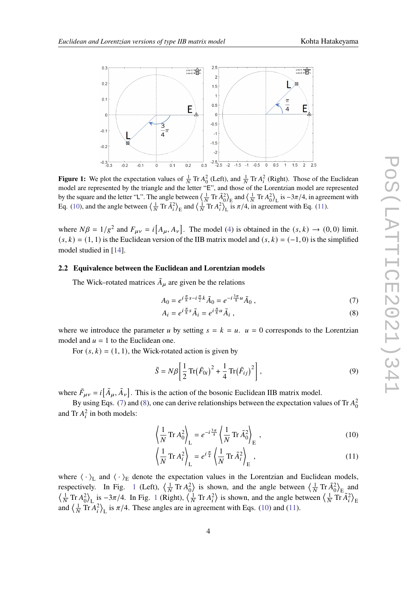

**Figure 1:** We plot the expectation values of  $\frac{1}{N}$  Tr  $A_0^2$  (Left), and  $\frac{1}{N}$  Tr  $A_i^2$  (Right). Those of the Euclidean model are represented by the triangle and the letter "E", and those of the Lorentzian model are represented by the square and the letter "L". The angle between  $\left\langle \frac{1}{N} \text{Tr} \tilde{A}_0^2 \right\rangle_E$  and  $\left\langle \frac{1}{N} \text{Tr} A_0^2 \right\rangle_L$  is  $-3\pi/4$ , in agreement with Eq. (10), and the angle between  $\left\langle \frac{1}{N} \text{Tr} \tilde{A}_i^2 \right\rangle_E$  and  $\left\langle \frac{1}{N} \text{Tr} A_i^2 \right\rangle_L$  is  $\pi/4$ , in agreement with Eq. (11).

where  $N\beta = 1/g^2$  and  $F_{\mu\nu} = i[A_\mu, A_\nu]$ . The model (4) is obtained in the  $(s, k) \rightarrow (0, 0)$  limit.  $(s, k) = (1, 1)$  is the Euclidean version of the IIB matrix model and  $(s, k) = (-1, 0)$  is the simplified model studied in [14].

# **2.2 Equivalence between the Euclidean and Lorentzian models**

The Wick–rotated matrices  $\tilde{A}_{\mu}$  are given be the relations

$$
A_0 = e^{i\frac{\pi}{8}s - i\frac{\pi}{2}k}\tilde{A}_0 = e^{-i\frac{3\pi}{8}u}\tilde{A}_0,
$$
 (7)

$$
A_i = e^{i\frac{\pi}{8}s}\tilde{A}_i = e^{i\frac{\pi}{8}u}\tilde{A}_i,
$$
\n(8)

where we introduce the parameter u by setting  $s = k = u$ .  $u = 0$  corresponds to the Lorentzian model and  $u = 1$  to the Euclidean one.

For  $(s, k) = (1, 1)$ , the Wick-rotated action is given by

$$
\tilde{S} = N\beta \left[ \frac{1}{2} \operatorname{Tr}(\tilde{F}_{0i})^2 + \frac{1}{4} \operatorname{Tr}(\tilde{F}_{ij})^2 \right],\tag{9}
$$

where  $\tilde{F}_{\mu\nu} = i [\tilde{A}_{\mu}, \tilde{A}_{\nu}]$ . This is the action of the bosonic Euclidean IIB matrix model.

By using Eqs. (7) and (8), one can derive relationships between the expectation values of Tr  $A_0^2$ and Tr  $A_i^2$  in both models:

$$
\left\langle \frac{1}{N} \operatorname{Tr} A_0^2 \right\rangle_{\mathcal{L}} = e^{-i\frac{3\pi}{4}} \left\langle \frac{1}{N} \operatorname{Tr} \tilde{A}_0^2 \right\rangle_{\mathcal{E}},\tag{10}
$$

$$
\left\langle \frac{1}{N} \operatorname{Tr} A_i^2 \right\rangle_{\mathcal{L}} = e^{i \frac{\pi}{4}} \left\langle \frac{1}{N} \operatorname{Tr} \tilde{A}_i^2 \right\rangle_{\mathcal{E}},\tag{11}
$$

where  $\langle \cdot \rangle_L$  and  $\langle \cdot \rangle_E$  denote the expectation values in the Lorentzian and Euclidean models, respectively. In Fig. 1 (Left),  $\left\langle \frac{1}{N} \text{Tr} A_0^2 \right\rangle$  is shown, and the angle between  $\left\langle \frac{1}{N} \text{Tr} \tilde{A}_0^2 \right\rangle_E$  and  $\left\langle \frac{1}{N} \text{Tr} A_0^2 \right\rangle_L$  is  $-3\pi/4$ . In Fig. 1 (Right),  $\left\langle \frac{1}{N} \text{Tr} A_i^2 \right\rangle$  is shown, and the angle between  $\left\langle \frac{1}{N} \text{Tr} \tilde{A}_i^2 \right\rangle_E$ and  $\left\langle \frac{1}{N} \text{Tr} A_i^2 \right\rangle_L$  is  $\pi/4$ . These angles are in agreement with Eqs. (10) and (11).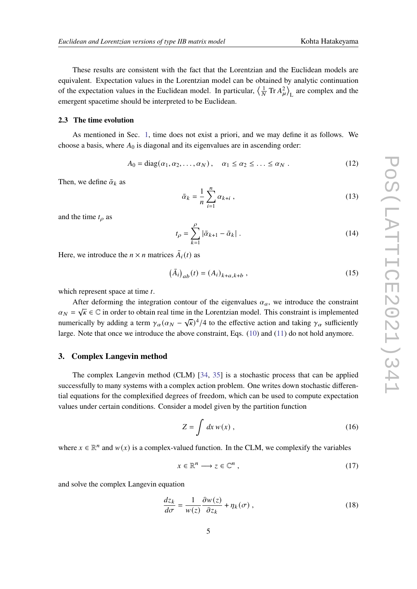These results are consistent with the fact that the Lorentzian and the Euclidean models are equivalent. Expectation values in the Lorentzian model can be obtained by analytic continuation of the expectation values in the Euclidean model. In particular,  $\left\langle \frac{1}{N} \text{Tr} A_{\mu}^2 \right\rangle$ L are complex and the emergent spacetime should be interpreted to be Euclidean.

# **2.3 The time evolution**

As mentioned in Sec. 1, time does not exist a priori, and we may define it as follows. We choose a basis, where  $A_0$  is diagonal and its eigenvalues are in ascending order:

$$
A_0 = \text{diag}(\alpha_1, \alpha_2, \dots, \alpha_N), \quad \alpha_1 \le \alpha_2 \le \dots \le \alpha_N. \tag{12}
$$

Then, we define  $\bar{\alpha}_k$  as

$$
\bar{\alpha}_k = \frac{1}{n} \sum_{i=1}^n \alpha_{k+i} \tag{13}
$$

and the time  $t<sub>o</sub>$  as

$$
t_{\rho} = \sum_{k=1}^{\rho} |\bar{\alpha}_{k+1} - \bar{\alpha}_k| \ . \tag{14}
$$

Here, we introduce the  $n \times n$  matrices  $\overline{A}_i(t)$  as

$$
(\bar{A}_i)_{ab}(t) = (A_i)_{k+a,k+b} \,, \tag{15}
$$

which represent space at time  $t$ .

After deforming the integration contour of the eigenvalues  $\alpha_a$ , we introduce the constraint  $\alpha_N = \sqrt{\kappa} \in \mathbb{C}$  in order to obtain real time in the Lorentzian model. This constraint is implemented numerically by adding a term  $\gamma_\alpha (\alpha_N - \sqrt{\kappa})^4/4$  to the effective action and taking  $\gamma_\alpha$  sufficiently large. Note that once we introduce the above constraint, Eqs. (10) and (11) do not hold anymore.

# **3. Complex Langevin method**

The complex Langevin method (CLM) [34, 35] is a stochastic process that can be applied successfully to many systems with a complex action problem. One writes down stochastic differential equations for the complexified degrees of freedom, which can be used to compute expectation values under certain conditions. Consider a model given by the partition function

$$
Z = \int dx w(x) , \qquad (16)
$$

where  $x \in \mathbb{R}^n$  and  $w(x)$  is a complex-valued function. In the CLM, we complexify the variables

$$
x \in \mathbb{R}^n \longrightarrow z \in \mathbb{C}^n , \tag{17}
$$

and solve the complex Langevin equation

$$
\frac{dz_k}{d\sigma} = \frac{1}{w(z)} \frac{\partial w(z)}{\partial z_k} + \eta_k(\sigma) ,
$$
\n(18)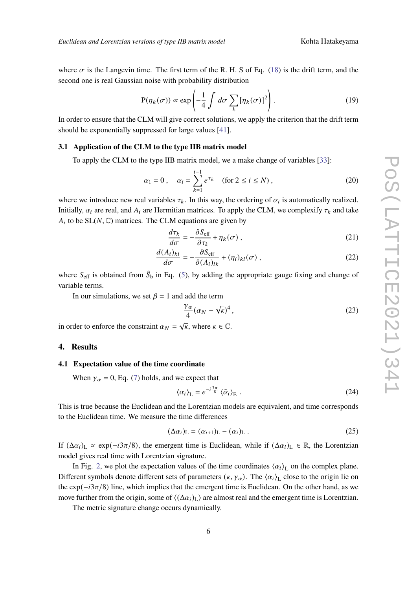where  $\sigma$  is the Langevin time. The first term of the R. H. S of Eq. (18) is the drift term, and the second one is real Gaussian noise with probability distribution

$$
P(\eta_k(\sigma)) \propto \exp\left(-\frac{1}{4} \int d\sigma \sum_k [\eta_k(\sigma)]^2\right).
$$
 (19)

In order to ensure that the CLM will give correct solutions, we apply the criterion that the drift term should be exponentially suppressed for large values [41].

#### **3.1 Application of the CLM to the type IIB matrix model**

To apply the CLM to the type IIB matrix model, we a make change of variables [33]:

$$
\alpha_1 = 0
$$
,  $\alpha_i = \sum_{k=1}^{i-1} e^{\tau_k}$  (for  $2 \le i \le N$ ), (20)

where we introduce new real variables  $\tau_k$ . In this way, the ordering of  $\alpha_i$  is automatically realized. Initially,  $\alpha_i$  are real, and  $A_i$  are Hermitian matrices. To apply the CLM, we complexify  $\tau_k$  and take  $A_i$  to be  $SL(N, \mathbb{C})$  matrices. The CLM equations are given by

$$
\frac{d\tau_k}{d\sigma} = -\frac{\partial S_{\text{eff}}}{\partial \tau_k} + \eta_k(\sigma) ,
$$
\n(21)

$$
\frac{d(A_i)_{kl}}{d\sigma} = -\frac{\partial S_{\text{eff}}}{\partial (A_i)_{lk}} + (\eta_i)_{kl}(\sigma) ,
$$
\n(22)

where  $S_{\text{eff}}$  is obtained from  $\tilde{S}_b$  in Eq. (5), by adding the appropriate gauge fixing and change of variable terms.

In our simulations, we set  $\beta = 1$  and add the term

$$
\frac{\gamma_{\alpha}}{4}(\alpha_N - \sqrt{\kappa})^4, \qquad (23)
$$

in order to enforce the constraint  $\alpha_N = \sqrt{\kappa}$ , where  $\kappa \in \mathbb{C}$ .

## **4. Results**

#### **4.1 Expectation value of the time coordinate**

When  $\gamma_{\alpha} = 0$ , Eq. (7) holds, and we expect that

$$
\langle \alpha_i \rangle_{\mathcal{L}} = e^{-i\frac{3\pi}{8}} \langle \tilde{\alpha}_i \rangle_{\mathcal{E}} . \tag{24}
$$

This is true because the Euclidean and the Lorentzian models are equivalent, and time corresponds to the Euclidean time. We measure the time differences

$$
(\Delta \alpha_i)_{\mathcal{L}} = (\alpha_{i+1})_{\mathcal{L}} - (\alpha_i)_{\mathcal{L}} . \tag{25}
$$

If  $(\Delta \alpha_i)_L \propto \exp(-i3\pi/8)$ , the emergent time is Euclidean, while if  $(\Delta \alpha_i)_L \in \mathbb{R}$ , the Lorentzian model gives real time with Lorentzian signature.

In Fig. 2, we plot the expectation values of the time coordinates  $\langle \alpha_i \rangle$ <sub>L</sub> on the complex plane. Different symbols denote different sets of parameters  $(\kappa, \gamma_\alpha)$ . The  $\langle \alpha_i \rangle_L$  close to the origin lie on the  $\exp(-i3\pi/8)$  line, which implies that the emergent time is Euclidean. On the other hand, as we move further from the origin, some of  $\langle (\Delta \alpha_i)_L \rangle$  are almost real and the emergent time is Lorentzian.

The metric signature change occurs dynamically.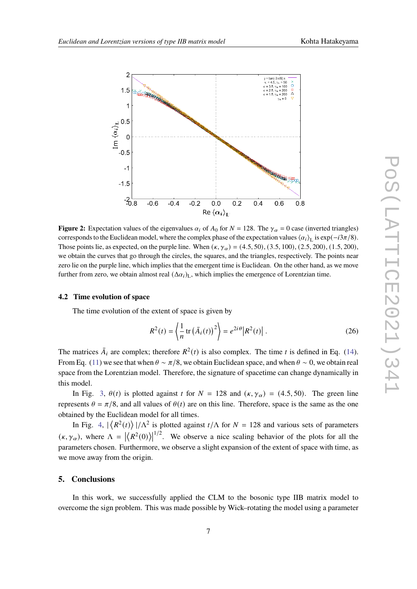

**Figure 2:** Expectation values of the eigenvalues  $\alpha_i$  of  $A_0$  for  $N = 128$ . The  $\gamma_\alpha = 0$  case (inverted triangles) corresponds to the Euclidean model, where the complex phase of the expectation values  $\langle \alpha_i \rangle_L$  is  $\exp(-i3\pi/8)$ . Those points lie, as expected, on the purple line. When  $(\kappa, \gamma_\alpha) = (4.5, 50), (3.5, 100), (2.5, 200), (1.5, 200)$ we obtain the curves that go through the circles, the squares, and the triangles, respectively. The points near zero lie on the purple line, which implies that the emergent time is Euclidean. On the other hand, as we move further from zero, we obtain almost real  $(\Delta \alpha_i)_L$ , which implies the emergence of Lorentzian time.

# **4.2 Time evolution of space**

The time evolution of the extent of space is given by

$$
R^{2}(t) = \left\langle \frac{1}{n} \operatorname{tr} \left( \bar{A}_{i}(t) \right)^{2} \right\rangle = e^{2i\theta} \left| R^{2}(t) \right|.
$$
 (26)

The matrices  $\bar{A}_i$  are complex; therefore  $R^2(t)$  is also complex. The time t is defined in Eq. (14). From Eq. (11) we see that when  $\theta \sim \pi/8$ , we obtain Euclidean space, and when  $\theta \sim 0$ , we obtain real space from the Lorentzian model. Therefore, the signature of spacetime can change dynamically in this model.

In Fig. 3,  $\theta(t)$  is plotted against t for  $N = 128$  and  $(\kappa, \gamma_{\alpha}) = (4.5, 50)$ . The green line represents  $\theta = \pi/8$ , and all values of  $\theta(t)$  are on this line. Therefore, space is the same as the one obtained by the Euclidean model for all times.

In Fig. 4,  $\left|\left\langle R^2(t)\right\rangle\right|/\Lambda^2$  is plotted against  $t/\Lambda$  for  $N = 128$  and various sets of parameters  $(\kappa, \gamma_\alpha)$ , where  $\Lambda = |\langle R^2(0) \rangle|^{1/2}$ . We observe a nice scaling behavior of the plots for all the parameters chosen. Furthermore, we observe a slight expansion of the extent of space with time, as we move away from the origin.

# **5. Conclusions**

In this work, we successfully applied the CLM to the bosonic type IIB matrix model to overcome the sign problem. This was made possible by Wick–rotating the model using a parameter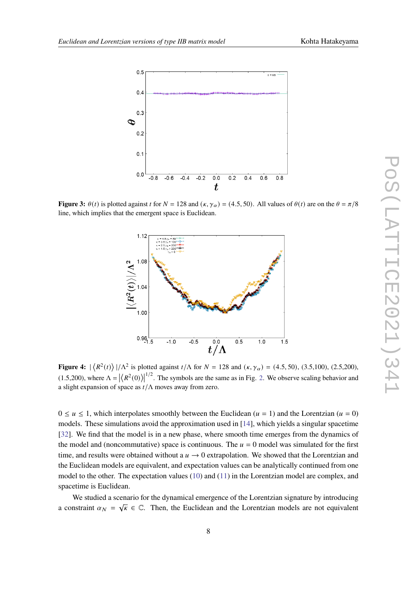

**Figure 3:**  $\theta(t)$  is plotted against t for  $N = 128$  and  $(\kappa, \gamma_{\alpha}) = (4.5, 50)$ . All values of  $\theta(t)$  are on the  $\theta = \pi/8$ line, which implies that the emergent space is Euclidean.



**Figure 4:**  $|\langle R^2(t) \rangle|/\Lambda^2$  is plotted against  $t/\Lambda$  for  $N = 128$  and  $(\kappa, \gamma_\alpha) = (4.5, 50)$ , (3.5,100), (2.5,200), (1.5,200), where  $\Lambda = |\langle R^2(0) \rangle|^{1/2}$ . The symbols are the same as in Fig. 2. We observe scaling behavior and a slight expansion of space as  $t/\Lambda$  moves away from zero.

 $0 \le u \le 1$ , which interpolates smoothly between the Euclidean ( $u = 1$ ) and the Lorentzian ( $u = 0$ ) models. These simulations avoid the approximation used in [14], which yields a singular spacetime [32]. We find that the model is in a new phase, where smooth time emerges from the dynamics of the model and (noncommutative) space is continuous. The  $u = 0$  model was simulated for the first time, and results were obtained without a  $u \rightarrow 0$  extrapolation. We showed that the Lorentzian and the Euclidean models are equivalent, and expectation values can be analytically continued from one model to the other. The expectation values (10) and (11) in the Lorentzian model are complex, and spacetime is Euclidean.

We studied a scenario for the dynamical emergence of the Lorentzian signature by introducing a constraint  $\alpha_N = \sqrt{k} \in \mathbb{C}$ . Then, the Euclidean and the Lorentzian models are not equivalent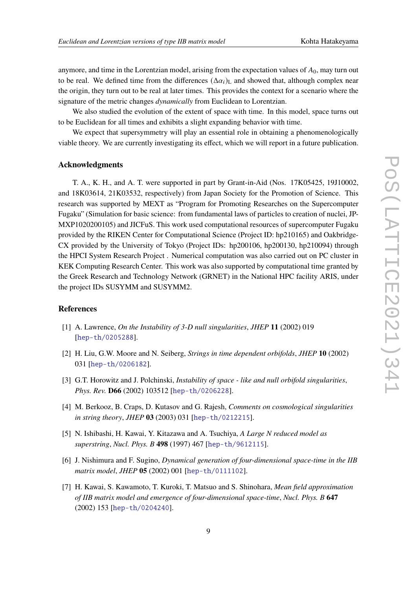anymore, and time in the Lorentzian model, arising from the expectation values of  $A_0$ , may turn out to be real. We defined time from the differences  $(\Delta a_i)_L$  and showed that, although complex near the origin, they turn out to be real at later times. This provides the context for a scenario where the signature of the metric changes *dynamically* from Euclidean to Lorentzian.

We also studied the evolution of the extent of space with time. In this model, space turns out to be Euclidean for all times and exhibits a slight expanding behavior with time.

We expect that supersymmetry will play an essential role in obtaining a phenomenologically viable theory. We are currently investigating its effect, which we will report in a future publication.

# **Acknowledgments**

T. A., K. H., and A. T. were supported in part by Grant-in-Aid (Nos. 17K05425, 19J10002, and 18K03614, 21K03532, respectively) from Japan Society for the Promotion of Science. This research was supported by MEXT as "Program for Promoting Researches on the Supercomputer Fugaku" (Simulation for basic science: from fundamental laws of particles to creation of nuclei, JP-MXP1020200105) and JICFuS. This work used computational resources of supercomputer Fugaku provided by the RIKEN Center for Computational Science (Project ID: hp210165) and Oakbridge-CX provided by the University of Tokyo (Project IDs: hp200106, hp200130, hp210094) through the HPCI System Research Project . Numerical computation was also carried out on PC cluster in KEK Computing Research Center. This work was also supported by computational time granted by the Greek Research and Technology Network (GRNET) in the National HPC facility ARIS, under the project IDs SUSYMM and SUSYMM2.

# **References**

- [1] A. Lawrence, *On the Instability of 3-D null singularities*, *JHEP* **11** (2002) 019 [hep-th/0205288].
- [2] H. Liu, G.W. Moore and N. Seiberg, *Strings in time dependent orbifolds*, *JHEP* **10** (2002) 031 [hep-th/0206182].
- [3] G.T. Horowitz and J. Polchinski, *Instability of space like and null orbifold singularities*, *Phys. Rev.* **D66** (2002) 103512 [hep-th/0206228].
- [4] M. Berkooz, B. Craps, D. Kutasov and G. Rajesh, *Comments on cosmological singularities in string theory*, *JHEP* **03** (2003) 031 [hep-th/0212215].
- [5] N. Ishibashi, H. Kawai, Y. Kitazawa and A. Tsuchiya, *A Large N reduced model as superstring*, *Nucl. Phys. B* **498** (1997) 467 [hep-th/9612115].
- [6] J. Nishimura and F. Sugino, *Dynamical generation of four-dimensional space-time in the IIB matrix model*, *JHEP* **05** (2002) 001 [hep-th/0111102].
- [7] H. Kawai, S. Kawamoto, T. Kuroki, T. Matsuo and S. Shinohara, *Mean field approximation of IIB matrix model and emergence of four-dimensional space-time*, *Nucl. Phys. B* **647** (2002) 153 [hep-th/0204240].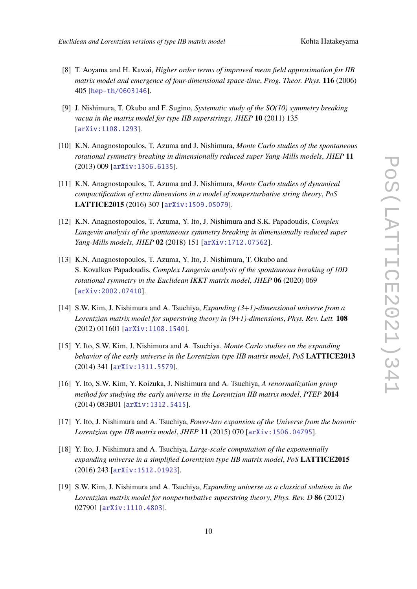- [8] T. Aoyama and H. Kawai, *Higher order terms of improved mean field approximation for IIB matrix model and emergence of four-dimensional space-time*, *Prog. Theor. Phys.* **116** (2006) 405 [hep-th/0603146].
- [9] J. Nishimura, T. Okubo and F. Sugino, *Systematic study of the SO(10) symmetry breaking vacua in the matrix model for type IIB superstrings*, *JHEP* **10** (2011) 135 [arXiv:1108.1293].
- [10] K.N. Anagnostopoulos, T. Azuma and J. Nishimura, *Monte Carlo studies of the spontaneous rotational symmetry breaking in dimensionally reduced super Yang-Mills models*, *JHEP* **11** (2013) 009 [arXiv:1306.6135].
- [11] K.N. Anagnostopoulos, T. Azuma and J. Nishimura, *Monte Carlo studies of dynamical compactification of extra dimensions in a model of nonperturbative string theory*, *PoS* **LATTICE2015** (2016) 307 [arXiv:1509.05079].
- [12] K.N. Anagnostopoulos, T. Azuma, Y. Ito, J. Nishimura and S.K. Papadoudis, *Complex Langevin analysis of the spontaneous symmetry breaking in dimensionally reduced super Yang-Mills models*, *JHEP* **02** (2018) 151 [arXiv:1712.07562].
- [13] K.N. Anagnostopoulos, T. Azuma, Y. Ito, J. Nishimura, T. Okubo and S. Kovalkov Papadoudis, *Complex Langevin analysis of the spontaneous breaking of 10D rotational symmetry in the Euclidean IKKT matrix model*, *JHEP* **06** (2020) 069 [arXiv:2002.07410].
- [14] S.W. Kim, J. Nishimura and A. Tsuchiya, *Expanding (3+1)-dimensional universe from a Lorentzian matrix model for superstring theory in (9+1)-dimensions*, *Phys. Rev. Lett.* **108** (2012) 011601 [arXiv:1108.1540].
- [15] Y. Ito, S.W. Kim, J. Nishimura and A. Tsuchiya, *Monte Carlo studies on the expanding behavior of the early universe in the Lorentzian type IIB matrix model*, *PoS* **LATTICE2013** (2014) 341 [arXiv:1311.5579].
- [16] Y. Ito, S.W. Kim, Y. Koizuka, J. Nishimura and A. Tsuchiya, *A renormalization group method for studying the early universe in the Lorentzian IIB matrix model*, *PTEP* **2014** (2014) 083B01 [arXiv:1312.5415].
- [17] Y. Ito, J. Nishimura and A. Tsuchiya, *Power-law expansion of the Universe from the bosonic Lorentzian type IIB matrix model*, *JHEP* **11** (2015) 070 [arXiv:1506.04795].
- [18] Y. Ito, J. Nishimura and A. Tsuchiya, *Large-scale computation of the exponentially expanding universe in a simplified Lorentzian type IIB matrix model*, *PoS* **LATTICE2015** (2016) 243 [arXiv:1512.01923].
- [19] S.W. Kim, J. Nishimura and A. Tsuchiya, *Expanding universe as a classical solution in the Lorentzian matrix model for nonperturbative superstring theory*, *Phys. Rev. D* **86** (2012) 027901 [arXiv:1110.4803].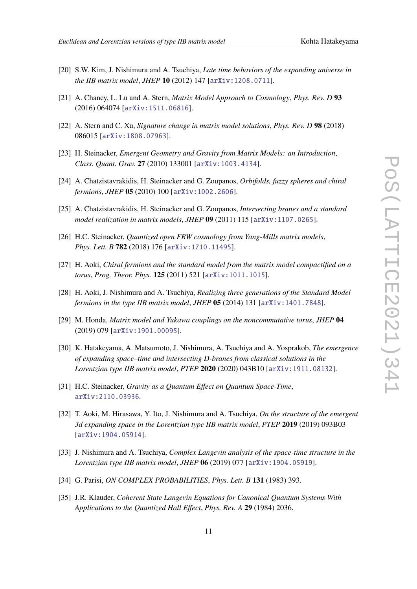- [20] S.W. Kim, J. Nishimura and A. Tsuchiya, *Late time behaviors of the expanding universe in the IIB matrix model*, *JHEP* **10** (2012) 147 [arXiv:1208.0711].
- [21] A. Chaney, L. Lu and A. Stern, *Matrix Model Approach to Cosmology*, *Phys. Rev. D* **93** (2016) 064074 [arXiv:1511.06816].
- [22] A. Stern and C. Xu, *Signature change in matrix model solutions*, *Phys. Rev. D* **98** (2018) 086015 [arXiv:1808.07963].
- [23] H. Steinacker, *Emergent Geometry and Gravity from Matrix Models: an Introduction*, *Class. Quant. Grav.* **27** (2010) 133001 [arXiv:1003.4134].
- [24] A. Chatzistavrakidis, H. Steinacker and G. Zoupanos, *Orbifolds, fuzzy spheres and chiral fermions*, *JHEP* **05** (2010) 100 [arXiv:1002.2606].
- [25] A. Chatzistavrakidis, H. Steinacker and G. Zoupanos, *Intersecting branes and a standard model realization in matrix models*, *JHEP* **09** (2011) 115 [arXiv:1107.0265].
- [26] H.C. Steinacker, *Quantized open FRW cosmology from Yang-Mills matrix models*, *Phys. Lett. B* **782** (2018) 176 [arXiv:1710.11495].
- [27] H. Aoki, *Chiral fermions and the standard model from the matrix model compactified on a torus*, *Prog. Theor. Phys.* **125** (2011) 521 [arXiv:1011.1015].
- [28] H. Aoki, J. Nishimura and A. Tsuchiya, *Realizing three generations of the Standard Model fermions in the type IIB matrix model*, *JHEP* **05** (2014) 131 [arXiv:1401.7848].
- [29] M. Honda, *Matrix model and Yukawa couplings on the noncommutative torus*, *JHEP* **04** (2019) 079 [arXiv:1901.00095].
- [30] K. Hatakeyama, A. Matsumoto, J. Nishimura, A. Tsuchiya and A. Yosprakob, *The emergence of expanding space–time and intersecting D-branes from classical solutions in the Lorentzian type IIB matrix model*, *PTEP* **2020** (2020) 043B10 [arXiv:1911.08132].
- [31] H.C. Steinacker, *Gravity as a Quantum Effect on Quantum Space-Time*, arXiv:2110.03936.
- [32] T. Aoki, M. Hirasawa, Y. Ito, J. Nishimura and A. Tsuchiya, *On the structure of the emergent 3d expanding space in the Lorentzian type IIB matrix model*, *PTEP* **2019** (2019) 093B03 [arXiv:1904.05914].
- [33] J. Nishimura and A. Tsuchiya, *Complex Langevin analysis of the space-time structure in the Lorentzian type IIB matrix model*, *JHEP* **06** (2019) 077 [arXiv:1904.05919].
- [34] G. Parisi, *ON COMPLEX PROBABILITIES*, *Phys. Lett. B* **131** (1983) 393.
- [35] J.R. Klauder, *Coherent State Langevin Equations for Canonical Quantum Systems With Applications to the Quantized Hall Effect*, *Phys. Rev. A* **29** (1984) 2036.